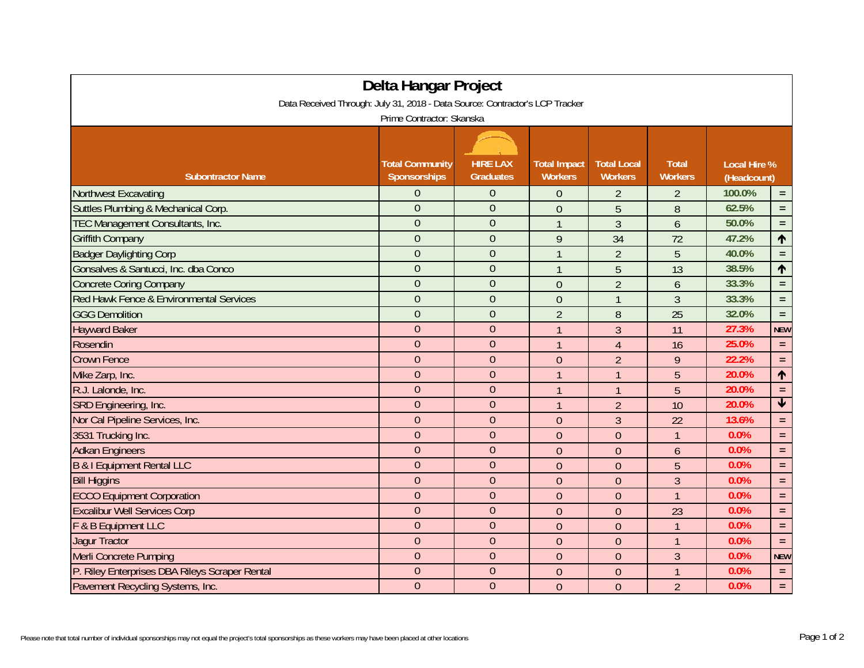| Delta Hangar Project<br>Data Received Through: July 31, 2018 - Data Source: Contractor's LCP Tracker |                                        |                                     |                                       |                                      |                                |                                    |                 |  |  |  |  |  |
|------------------------------------------------------------------------------------------------------|----------------------------------------|-------------------------------------|---------------------------------------|--------------------------------------|--------------------------------|------------------------------------|-----------------|--|--|--|--|--|
| Prime Contractor: Skanska                                                                            |                                        |                                     |                                       |                                      |                                |                                    |                 |  |  |  |  |  |
| <b>Subontractor Name</b>                                                                             | <b>Total Community</b><br>Sponsorships | <b>HIRE LAX</b><br><b>Graduates</b> | <b>Total Impact</b><br><b>Workers</b> | <b>Total Local</b><br><b>Workers</b> | <b>Total</b><br><b>Workers</b> | <b>Local Hire %</b><br>(Headcount) |                 |  |  |  |  |  |
| <b>Northwest Excavating</b>                                                                          | $\overline{0}$                         | 0                                   | $\theta$                              | $\overline{2}$                       | 2                              | 100.0%                             | $\equiv$        |  |  |  |  |  |
| Suttles Plumbing & Mechanical Corp.                                                                  | $\overline{0}$                         | $\overline{0}$                      | $\overline{0}$                        | 5                                    | 8                              | 62.5%                              | $=$             |  |  |  |  |  |
| TEC Management Consultants, Inc.                                                                     | $\overline{0}$                         | $\overline{0}$                      | $\overline{1}$                        | $\overline{3}$                       | 6                              | 50.0%                              | $\equiv$ .      |  |  |  |  |  |
| <b>Griffith Company</b>                                                                              | $\overline{0}$                         | $\overline{0}$                      | 9                                     | 34                                   | 72                             | 47.2%                              | $\uparrow$      |  |  |  |  |  |
| <b>Badger Daylighting Corp</b>                                                                       | $\overline{0}$                         | $\overline{0}$                      | $\overline{1}$                        | $\overline{2}$                       | 5                              | 40.0%                              | $=$             |  |  |  |  |  |
| Gonsalves & Santucci, Inc. dba Conco                                                                 | $\overline{0}$                         | $\overline{0}$                      | $\overline{1}$                        | 5                                    | 13                             | 38.5%                              | $\uparrow$      |  |  |  |  |  |
| <b>Concrete Coring Company</b>                                                                       | $\overline{0}$                         | $\overline{0}$                      | $\mathbf{0}$                          | $\overline{2}$                       | 6                              | 33.3%                              | $=$ $\,$        |  |  |  |  |  |
| Red Hawk Fence & Environmental Services                                                              | $\overline{0}$                         | $\overline{0}$                      | $\overline{0}$                        | $\mathbf{1}$                         | 3                              | 33.3%                              | $\equiv$        |  |  |  |  |  |
| <b>GGG Demolition</b>                                                                                | $\overline{0}$                         | $\overline{0}$                      | $\overline{2}$                        | 8                                    | 25                             | 32.0%                              | $\equiv$        |  |  |  |  |  |
| <b>Hayward Baker</b>                                                                                 | $\overline{0}$                         | $\overline{0}$                      | $\overline{1}$                        | $\overline{3}$                       | 11                             | 27.3%                              | <b>NEW</b>      |  |  |  |  |  |
| Rosendin                                                                                             | $\overline{0}$                         | $\overline{0}$                      | $\mathbf{1}$                          | $\overline{4}$                       | 16                             | 25.0%                              | $=$ $\,$        |  |  |  |  |  |
| <b>Crown Fence</b>                                                                                   | $\overline{0}$                         | $\overline{0}$                      | $\overline{0}$                        | $\overline{2}$                       | 9                              | 22.2%                              | $=$             |  |  |  |  |  |
| Mike Zarp, Inc.                                                                                      | $\overline{0}$                         | $\overline{0}$                      | $\overline{1}$                        | $\overline{1}$                       | 5                              | 20.0%                              | $\uparrow$      |  |  |  |  |  |
| R.J. Lalonde, Inc.                                                                                   | $\overline{0}$                         | $\overline{0}$                      | $\overline{1}$                        | $\mathbf{1}$                         | 5                              | 20.0%                              | $=$ .           |  |  |  |  |  |
| SRD Engineering, Inc.                                                                                | $\overline{0}$                         | $\overline{0}$                      | $\overline{1}$                        | $\overline{2}$                       | 10                             | 20.0%                              | $\blacklozenge$ |  |  |  |  |  |
| Nor Cal Pipeline Services, Inc.                                                                      | $\overline{0}$                         | $\overline{0}$                      | $\mathbf{0}$                          | $\overline{3}$                       | 22                             | 13.6%                              | $\equiv$        |  |  |  |  |  |
| 3531 Trucking Inc.                                                                                   | $\overline{0}$                         | $\mathbf{0}$                        | $\overline{0}$                        | $\overline{0}$                       | $\mathbf{1}$                   | 0.0%                               | $\equiv$        |  |  |  |  |  |
| <b>Adkan Engineers</b>                                                                               | $\overline{0}$                         | $\overline{0}$                      | $\mathbf{0}$                          | $\mathbf{0}$                         | 6                              | 0.0%                               | $\equiv$        |  |  |  |  |  |
| <b>B &amp; I Equipment Rental LLC</b>                                                                | $\overline{0}$                         | $\mathbf 0$                         | $\mathbf 0$                           | $\overline{0}$                       | 5                              | 0.0%                               | $\equiv$        |  |  |  |  |  |
| <b>Bill Higgins</b>                                                                                  | $\overline{0}$                         | $\overline{0}$                      | $\overline{0}$                        | $\overline{0}$                       | 3                              | 0.0%                               | $=$ .           |  |  |  |  |  |
| <b>ECCO Equipment Corporation</b>                                                                    | $\overline{0}$                         | $\overline{0}$                      | $\overline{0}$                        | $\overline{0}$                       | $\overline{1}$                 | 0.0%                               | $\equiv$ .      |  |  |  |  |  |
| <b>Excalibur Well Services Corp</b>                                                                  | $\overline{0}$                         | $\overline{0}$                      | $\overline{0}$                        | $\overline{0}$                       | 23                             | 0.0%                               | $\equiv$        |  |  |  |  |  |
| F & B Equipment LLC                                                                                  | $\overline{0}$                         | $\mathbf{0}$                        | $\overline{0}$                        | $\theta$                             | $\overline{1}$                 | 0.0%                               | $=$             |  |  |  |  |  |
| <b>Jagur Tractor</b>                                                                                 | $\mathbf{0}$                           | $\overline{0}$                      | $\mathbf{0}$                          | $\theta$                             | $\mathbf{1}$                   | 0.0%                               | $=$ .           |  |  |  |  |  |
| Merli Concrete Pumping                                                                               | $\mathbf{0}$                           | $\overline{0}$                      | $\overline{0}$                        | $\overline{0}$                       | $\overline{3}$                 | 0.0%                               | <b>NEW</b>      |  |  |  |  |  |
| P. Riley Enterprises DBA Rileys Scraper Rental                                                       | $\overline{0}$                         | $\overline{0}$                      | $\theta$                              | $\theta$                             | $\mathbf{1}$                   | 0.0%                               | $=$ .           |  |  |  |  |  |
| Pavement Recycling Systems, Inc.                                                                     | $\overline{0}$                         | $\overline{0}$                      | $\mathbf{0}$                          | $\theta$                             | $\overline{2}$                 | 0.0%                               | $\equiv$ .      |  |  |  |  |  |